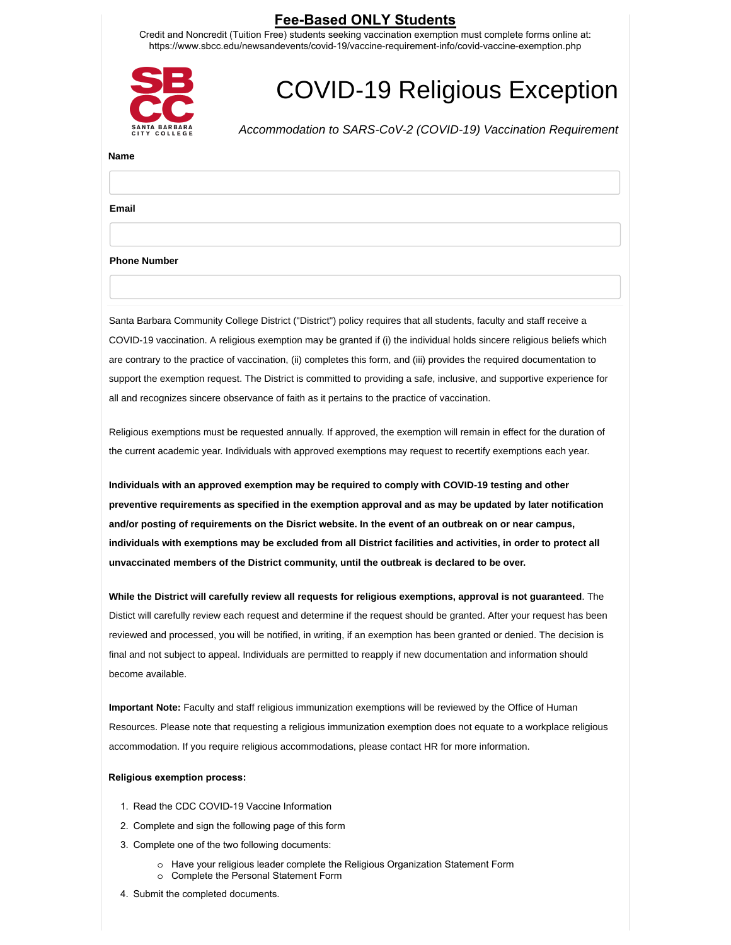## **Fee-Based ONLY Students**

Credit and Noncredit (Tuition Free) students seeking vaccination exemption must complete forms online at: https://www.sbcc.edu/newsandevents/covid-19/vaccine-requirement-info/covid-vaccine-exemption.php



# COVID-19 Religious Exception

*Accommodation to SARS-CoV-2 (COVID-19) Vaccination Requirement*

#### **Name**

**Email**

#### **Phone Number**

Santa Barbara Community College District ("District") policy requires that all students, faculty and staff receive a COVID-19 vaccination. A religious exemption may be granted if (i) the individual holds sincere religious beliefs which are contrary to the practice of vaccination, (ii) completes this form, and (iii) provides the required documentation to support the exemption request. The District is committed to providing a safe, inclusive, and supportive experience for all and recognizes sincere observance of faith as it pertains to the practice of vaccination.

Religious exemptions must be requested annually. If approved, the exemption will remain in effect for the duration of the current academic year. Individuals with approved exemptions may request to recertify exemptions each year.

**Individuals with an approved exemption may be required to comply with COVID-19 testing and other preventive requirements as specified in the exemption approval and as may be updated by later notification and/or posting of requirements on the Disrict website. In the event of an outbreak on or near campus, individuals with exemptions may be excluded from all District facilities and activities, in order to protect all unvaccinated members of the District community, until the outbreak is declared to be over.**

**While the District will carefully review all requests for religious exemptions, approval is not guaranteed**. The Distict will carefully review each request and determine if the request should be granted. After your request has been reviewed and processed, you will be notified, in writing, if an exemption has been granted or denied. The decision is final and not subject to appeal. Individuals are permitted to reapply if new documentation and information should become available.

**Important Note:** Faculty and staff religious immunization exemptions will be reviewed by the Office of Human Resources. Please note that requesting a religious immunization exemption does not equate to a workplace religious accommodation. If you require religious accommodations, please contact HR for more information.

#### **Religious exemption process:**

- 1. Read the CDC COVID-19 Vaccine Information
- 2. Complete and sign the following page of this form
- 3. Complete one of the two following documents:
	- o Have your religious leader complete the Religious Organization Statement Form
	- o Complete the Personal Statement Form
- $4.$